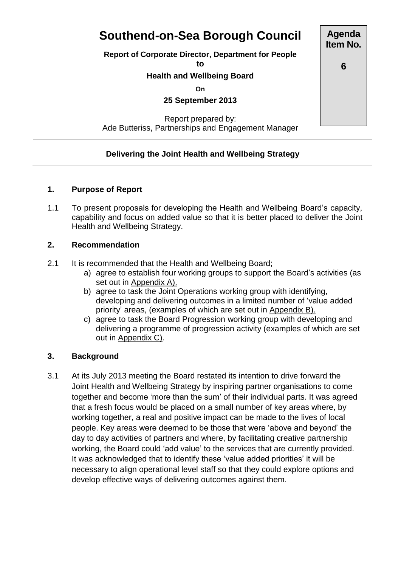# **Southend-on-Sea Borough Council**

**Report of Corporate Director, Department for People**

**to**

#### **Health and Wellbeing Board**

**On**

**25 September 2013**

Report prepared by: Ade Butteriss, Partnerships and Engagement Manager

#### **Delivering the Joint Health and Wellbeing Strategy**

#### **1. Purpose of Report**

1.1 To present proposals for developing the Health and Wellbeing Board's capacity, capability and focus on added value so that it is better placed to deliver the Joint Health and Wellbeing Strategy.

#### **2. Recommendation**

- 2.1 It is recommended that the Health and Wellbeing Board;
	- a) agree to establish four working groups to support the Board's activities (as set out in Appendix A).
	- b) agree to task the Joint Operations working group with identifying, developing and delivering outcomes in a limited number of 'value added priority' areas, (examples of which are set out in Appendix B).
	- c) agree to task the Board Progression working group with developing and delivering a programme of progression activity (examples of which are set out in Appendix C).

#### **3. Background**

3.1 At its July 2013 meeting the Board restated its intention to drive forward the Joint Health and Wellbeing Strategy by inspiring partner organisations to come together and become 'more than the sum' of their individual parts. It was agreed that a fresh focus would be placed on a small number of key areas where, by working together, a real and positive impact can be made to the lives of local people. Key areas were deemed to be those that were 'above and beyond' the day to day activities of partners and where, by facilitating creative partnership working, the Board could 'add value' to the services that are currently provided. It was acknowledged that to identify these 'value added priorities' it will be necessary to align operational level staff so that they could explore options and develop effective ways of delivering outcomes against them.

**Agenda Item No.**

**6**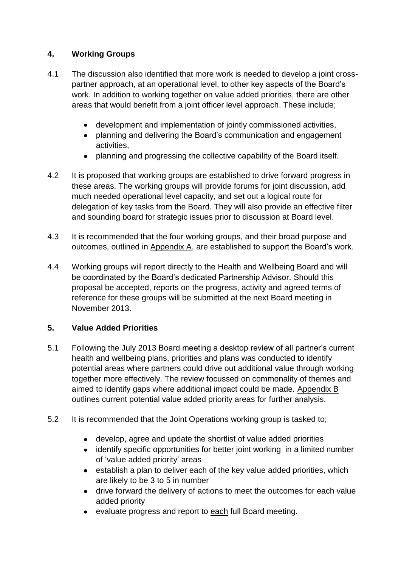### **4. Working Groups**

- 4.1 The discussion also identified that more work is needed to develop a joint crosspartner approach, at an operational level, to other key aspects of the Board's work. In addition to working together on value added priorities, there are other areas that would benefit from a joint officer level approach. These include;
	- development and implementation of jointly commissioned activities,
	- planning and delivering the Board's communication and engagement activities,
	- planning and progressing the collective capability of the Board itself.
- 4.2 It is proposed that working groups are established to drive forward progress in these areas. The working groups will provide forums for joint discussion, add much needed operational level capacity, and set out a logical route for delegation of key tasks from the Board. They will also provide an effective filter and sounding board for strategic issues prior to discussion at Board level.
- 4.3 It is recommended that the four working groups, and their broad purpose and outcomes, outlined in Appendix A, are established to support the Board's work.
- 4.4 Working groups will report directly to the Health and Wellbeing Board and will be coordinated by the Board's dedicated Partnership Advisor. Should this proposal be accepted, reports on the progress, activity and agreed terms of reference for these groups will be submitted at the next Board meeting in November 2013.

#### **5. Value Added Priorities**

- 5.1 Following the July 2013 Board meeting a desktop review of all partner's current health and wellbeing plans, priorities and plans was conducted to identify potential areas where partners could drive out additional value through working together more effectively. The review focussed on commonality of themes and aimed to identify gaps where additional impact could be made. Appendix B outlines current potential value added priority areas for further analysis.
- 5.2 It is recommended that the Joint Operations working group is tasked to;
	- develop, agree and update the shortlist of value added priorities
	- identify specific opportunities for better joint working in a limited number of 'value added priority' areas
	- establish a plan to deliver each of the key value added priorities, which are likely to be 3 to 5 in number
	- drive forward the delivery of actions to meet the outcomes for each value added priority
	- evaluate progress and report to each full Board meeting.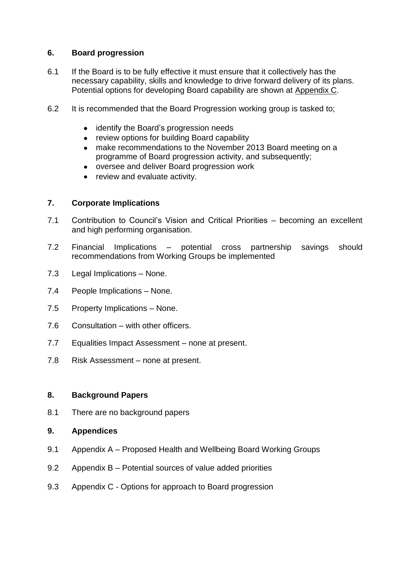#### **6. Board progression**

- 6.1 If the Board is to be fully effective it must ensure that it collectively has the necessary capability, skills and knowledge to drive forward delivery of its plans. Potential options for developing Board capability are shown at Appendix C.
- 6.2 It is recommended that the Board Progression working group is tasked to;
	- $\bullet$ identify the Board's progression needs
	- review options for building Board capability  $\bullet$
	- make recommendations to the November 2013 Board meeting on a  $\bullet$ programme of Board progression activity, and subsequently;
	- oversee and deliver Board progression work  $\bullet$
	- review and evaluate activity.  $\bullet$

#### **7. Corporate Implications**

- 7.1 Contribution to Council's Vision and Critical Priorities becoming an excellent and high performing organisation.
- 7.2 Financial Implications potential cross partnership savings should recommendations from Working Groups be implemented
- 7.3 Legal Implications None.
- 7.4 People Implications None.
- 7.5 Property Implications None.
- 7.6 Consultation with other officers.
- 7.7 Equalities Impact Assessment none at present.
- 7.8 Risk Assessment none at present.

#### **8. Background Papers**

8.1 There are no background papers

#### **9. Appendices**

- 9.1 Appendix A Proposed Health and Wellbeing Board Working Groups
- 9.2 Appendix B Potential sources of value added priorities
- 9.3 Appendix C Options for approach to Board progression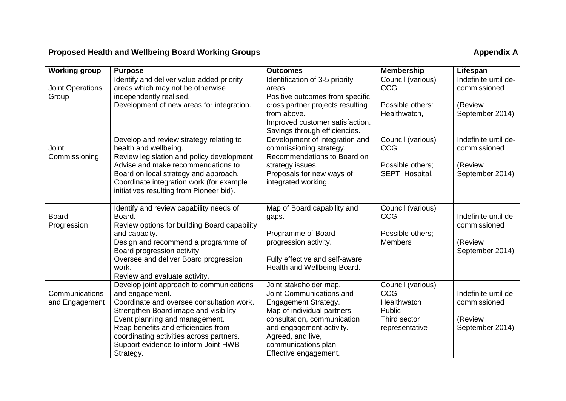## Proposed Health and Wellbeing Board Working Groups **Appendix A**

| <b>Working group</b>             | <b>Purpose</b>                                                                                                                                                                                                                                                                                                               | <b>Outcomes</b>                                                                                                                                                                                                                           | <b>Membership</b>                                                                   | Lifespan                                                           |
|----------------------------------|------------------------------------------------------------------------------------------------------------------------------------------------------------------------------------------------------------------------------------------------------------------------------------------------------------------------------|-------------------------------------------------------------------------------------------------------------------------------------------------------------------------------------------------------------------------------------------|-------------------------------------------------------------------------------------|--------------------------------------------------------------------|
| <b>Joint Operations</b><br>Group | Identify and deliver value added priority<br>areas which may not be otherwise<br>independently realised.                                                                                                                                                                                                                     | Identification of 3-5 priority<br>areas.<br>Positive outcomes from specific                                                                                                                                                               | Council (various)<br>CCG                                                            | Indefinite until de-<br>commissioned                               |
|                                  | Development of new areas for integration.                                                                                                                                                                                                                                                                                    | cross partner projects resulting<br>from above.<br>Improved customer satisfaction.<br>Savings through efficiencies.                                                                                                                       | Possible others:<br>Healthwatch,                                                    | (Review<br>September 2014)                                         |
| Joint<br>Commissioning           | Develop and review strategy relating to<br>health and wellbeing.<br>Review legislation and policy development.<br>Advise and make recommendations to<br>Board on local strategy and approach.<br>Coordinate integration work (for example<br>initiatives resulting from Pioneer bid).                                        | Development of integration and<br>commissioning strategy.<br>Recommendations to Board on<br>strategy issues.<br>Proposals for new ways of<br>integrated working.                                                                          | Council (various)<br><b>CCG</b><br>Possible others;<br>SEPT, Hospital.              | Indefinite until de-<br>commissioned<br>(Review<br>September 2014) |
| <b>Board</b><br>Progression      | Identify and review capability needs of<br>Board.<br>Review options for building Board capability<br>and capacity.<br>Design and recommend a programme of<br>Board progression activity.<br>Oversee and deliver Board progression<br>work.<br>Review and evaluate activity.                                                  | Map of Board capability and<br>gaps.<br>Programme of Board<br>progression activity.<br>Fully effective and self-aware<br>Health and Wellbeing Board.                                                                                      | Council (various)<br>CCG<br>Possible others;<br><b>Members</b>                      | Indefinite until de-<br>commissioned<br>(Review<br>September 2014) |
| Communications<br>and Engagement | Develop joint approach to communications<br>and engagement.<br>Coordinate and oversee consultation work.<br>Strengthen Board image and visibility.<br>Event planning and management.<br>Reap benefits and efficiencies from<br>coordinating activities across partners.<br>Support evidence to inform Joint HWB<br>Strategy. | Joint stakeholder map.<br>Joint Communications and<br>Engagement Strategy.<br>Map of individual partners<br>consultation, communication<br>and engagement activity.<br>Agreed, and live,<br>communications plan.<br>Effective engagement. | Council (various)<br>CCG<br>Healthwatch<br>Public<br>Third sector<br>representative | Indefinite until de-<br>commissioned<br>(Review<br>September 2014) |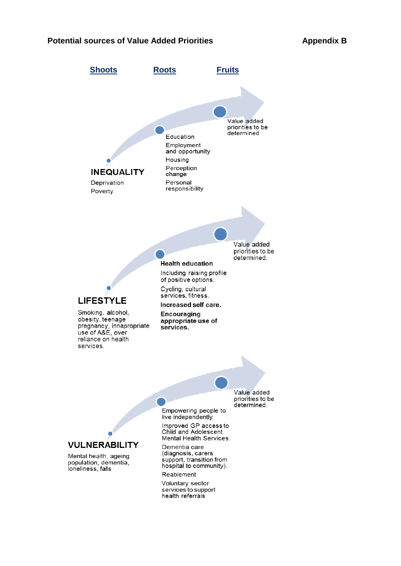#### **Potential sources of Value Added Priorities Appendix B**